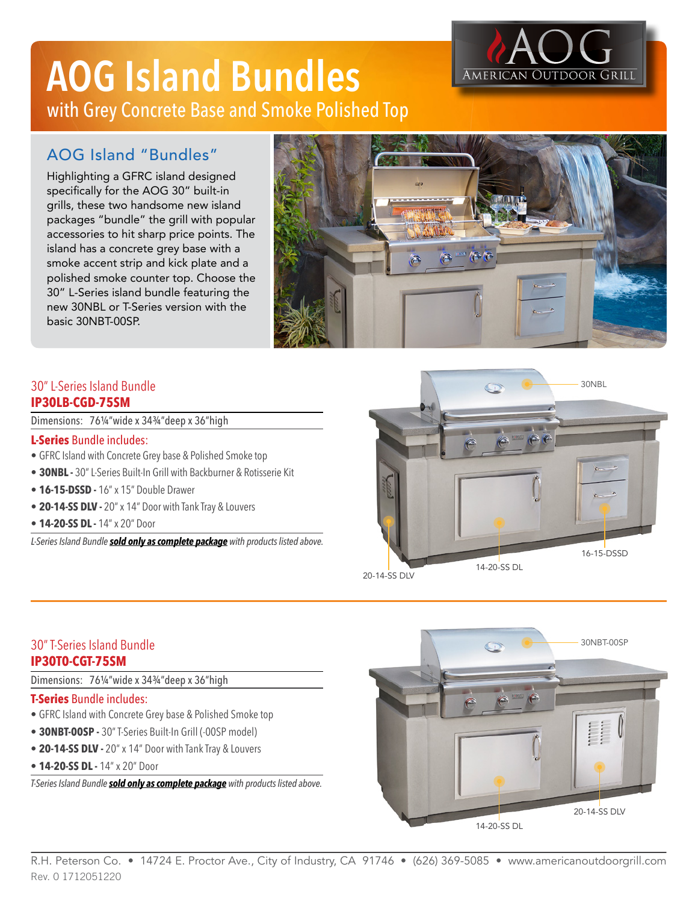## **AOG Island Bundles** with Grey Concrete Base and Smoke Polished Top

# American Outdoor

### AOG Island "Bundles"

Highlighting a GFRC island designed specifically for the AOG 30" built-in grills, these two handsome new island packages "bundle" the grill with popular accessories to hit sharp price points. The island has a concrete grey base with a smoke accent strip and kick plate and a polished smoke counter top. Choose the 30" L-Series island bundle featuring the new 30NBL or T-Series version with the basic 30NBT-00SP.



#### 30" L-Series Island Bundle **IP30LB-CGD-75SM**

Dimensions: 76¼"wide x 34¾"deep x 36"high

#### **L-Series** Bundle includes:

- GFRC Island with Concrete Grey base & Polished Smoke top
- **• 30NBL -** 30" L-Series Built-In Grill with Backburner & Rotisserie Kit
- **• 16-15-DSSD -** 16" x 15" Double Drawer
- **• 20-14-SS DLV -** 20" x 14" Door with Tank Tray & Louvers
- **• 14-20-SS DL -** 14" x 20" Door

*L-Series Island Bundle sold only as complete package with products listed above.*



20-14-SS DLV

#### 30" T-Series Island Bundle **IP30T0-CGT-75SM**

Dimensions: 76¼"wide x 34¾"deep x 36"high

#### **T-Series** Bundle includes:

- GFRC Island with Concrete Grey base & Polished Smoke top
- **• 30NBT-00SP -** 30" T-Series Built-In Grill (-00SP model)
- **• 20-14-SS DLV -** 20" x 14" Door with Tank Tray & Louvers
- **• 14-20-SS DL -** 14" x 20" Door

*T-Series Island Bundle sold only as complete package with products listed above.*